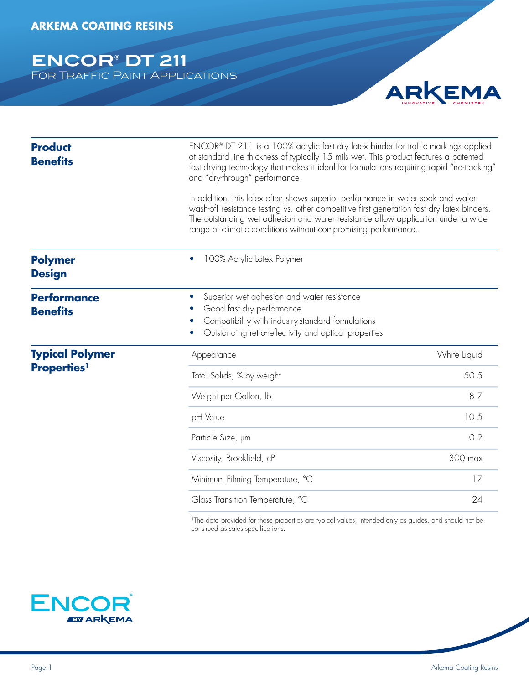For Traffic Paint Applications



| <b>Product</b><br><b>Benefits</b>                        | ENCOR® DT 211 is a 100% acrylic fast dry latex binder for traffic markings applied<br>at standard line thickness of typically 15 mils wet. This product features a patented<br>fast drying technology that makes it ideal for formulations requiring rapid "no-tracking"<br>and "dry-through" performance.                           |              |  |  |
|----------------------------------------------------------|--------------------------------------------------------------------------------------------------------------------------------------------------------------------------------------------------------------------------------------------------------------------------------------------------------------------------------------|--------------|--|--|
|                                                          | In addition, this latex often shows superior performance in water soak and water<br>wash-off resistance testing vs. other competitive first generation fast dry latex binders.<br>The outstanding wet adhesion and water resistance allow application under a wide<br>range of climatic conditions without compromising performance. |              |  |  |
| <b>Polymer</b><br><b>Design</b>                          | 100% Acrylic Latex Polymer<br>$\bullet$                                                                                                                                                                                                                                                                                              |              |  |  |
| <b>Performance</b><br><b>Benefits</b>                    | Superior wet adhesion and water resistance<br>$\bullet$<br>Good fast dry performance<br>Compatibility with industry-standard formulations<br>Outstanding retro-reflectivity and optical properties                                                                                                                                   |              |  |  |
| <b>Typical Polymer</b><br><b>Properties</b> <sup>1</sup> | Appearance                                                                                                                                                                                                                                                                                                                           | White Liquid |  |  |
|                                                          | Total Solids, % by weight                                                                                                                                                                                                                                                                                                            | 50.5         |  |  |
|                                                          | Weight per Gallon, lb                                                                                                                                                                                                                                                                                                                | 8.7          |  |  |
|                                                          | pH Value                                                                                                                                                                                                                                                                                                                             | 10.5         |  |  |
|                                                          | Particle Size, µm                                                                                                                                                                                                                                                                                                                    | 0.2          |  |  |
|                                                          | Viscosity, Brookfield, cP                                                                                                                                                                                                                                                                                                            | 300 max      |  |  |
|                                                          | Minimum Filming Temperature, °C                                                                                                                                                                                                                                                                                                      | 17           |  |  |
|                                                          | Glass Transition Temperature, °C                                                                                                                                                                                                                                                                                                     | 24           |  |  |

<sup>1</sup>The data provided for these properties are typical values, intended only as guides, and should not be construed as sales specifications.

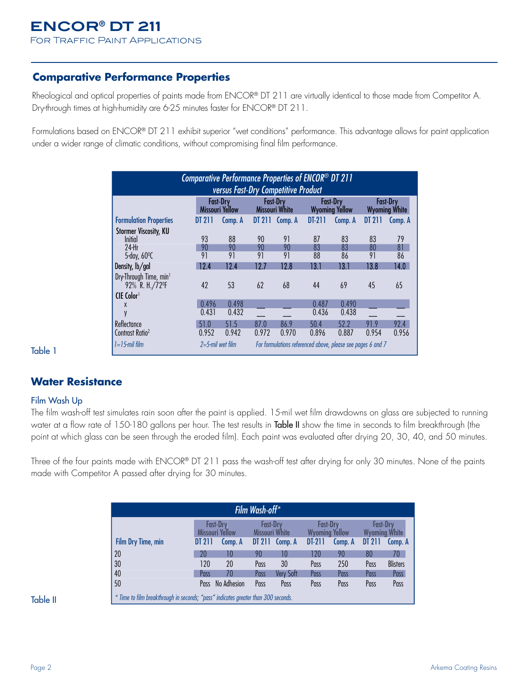## **Comparative Performance Properties**

Rheological and optical properties of paints made from ENCOR® DT 211 are virtually identical to those made from Competitor A. Dry-through times at high-humidity are 6-25 minutes faster for ENCOR® DT 211.

Formulations based on ENCOR® DT 211 exhibit superior "wet conditions" performance. This advantage allows for paint application under a wider range of climatic conditions, without compromising final film performance.

| Comparative Performance Properties of ENCOR <sup>®</sup> DT 211<br>versus Fast-Dry Competitive Product |                                    |                |       |                                                             |                |                                   |        |                                         |
|--------------------------------------------------------------------------------------------------------|------------------------------------|----------------|-------|-------------------------------------------------------------|----------------|-----------------------------------|--------|-----------------------------------------|
|                                                                                                        | <b>Fast-Dry</b><br>Missouri Yellow |                |       | <b>Fast-Dry</b><br>Missouri White                           |                | Fast-Dry<br><b>Wyoming Yellow</b> |        | <b>Fast-Dry</b><br><b>Wyoming White</b> |
| <b>Formulation Properties</b>                                                                          | DT 211                             | Comp. A        |       | DT 211 Comp. A                                              | DT-211         | Comp. A                           | DT 211 | Comp. A                                 |
| <b>Stormer Viscosity, KU</b>                                                                           |                                    |                |       |                                                             |                |                                   |        |                                         |
| Initial                                                                                                | 93                                 | 88             | 90    | 91                                                          | 87             | 83                                | 83     | 79                                      |
| $24$ -Hr                                                                                               | 90                                 | 90             | 90    | 90                                                          | 83             | 83                                | 80     | 81                                      |
| 5-day, 60°C                                                                                            | 91                                 | 91             | 91    | 91                                                          | 88             | 86                                | 91     | 86                                      |
| Density, lb/gal                                                                                        | 12.4                               | 12.4           | 12.7  | 12.8                                                        | 13.1           | 13.1                              | 13.8   | 14.0                                    |
| Dry-Through Time, min <sup>1</sup><br>92% R. H./72ºF                                                   | 42                                 | 53             | 62    | 68                                                          | 44             | 69                                | 45     | 65                                      |
| CIE Color <sup>1</sup>                                                                                 |                                    |                |       |                                                             |                |                                   |        |                                         |
| X<br>y                                                                                                 | 0.496<br>0.431                     | 0.498<br>0.432 |       |                                                             | 0.487<br>0.436 | 0.490<br>0.438                    |        |                                         |
| Reflectance                                                                                            | 51.0                               | 51.5           | 87.0  | 86.9                                                        | 50.4           | 52.2                              | 91.9   | 92.4                                    |
| Contrast Ratio <sup>2</sup>                                                                            | 0.952                              | 0.942          | 0.972 | 0.970                                                       | 0.896          | 0.887                             | 0.954  | 0.956                                   |
| $l = 15$ -mil film                                                                                     | $2=5$ -mil wet film                |                |       | For formulations referenced above, please see pages 6 and 7 |                |                                   |        |                                         |

Table 1

#### **Water Resistance** CIE Color<sup>1</sup>

#### Film Wash Up

The film wash-off test simulates rain soon after the paint is applied. 15-mil wet film drawdowns on glass are subjected to running water at a flow rate of 150-180 gallons per hour. The test results in **Table II** show the time in seconds to film breakthrough (the water at a flow rate of 150-180 gallons per hour. The test results in **Table II** show the point at which glass can be seen through the eroded film). Each paint was evaluated after drying 20, 30, 40, and 50 minutes. wed minj.  $\sin t$  W pain was  $H_{\rm tot}$ waled affer  $20<sup>3</sup>$ an be seen through the eroded film). Each paint was evaluated after drying 20, 30, imulates rain soon after the paint is applied. 15-mil wet film drawdowns on glass

12.8 \_\_ \_\_ \_\_

Density Density, lb/gal , 12.4 12.4 12.7 12.8 13.1 13.1 13.8 14.0

Three of the four paints made with ENCOR® DT 211 pass the wash-off test after drying for only 30 minutes. None of the paints 20 20 10 90 10 120 90 80 70 20 10 90 10 120 90 80 *Film Wash-off Performance of ENCOR Latex Dt 211 versus* made with Competitor A passed after drying for 30 minutes.

| Film Wash-off $*$                                                                  |        |                                    |                                   |                  |                                   |         |                                  |                 |
|------------------------------------------------------------------------------------|--------|------------------------------------|-----------------------------------|------------------|-----------------------------------|---------|----------------------------------|-----------------|
|                                                                                    |        | <b>Fast-Drv</b><br>Missouri Yellow | <b>Fast-Drv</b><br>Missouri White |                  | Fast-Drv<br><b>Wyoming Yellow</b> |         | Fast-Drv<br><b>Wyoming White</b> |                 |
| Film Dry Time, min                                                                 | DT 211 | Comp. A                            |                                   | DT 211 Comp. A   | DT-211                            | Comp. A | DT 211                           | Comp. A         |
| 20                                                                                 | 20     | 10                                 | 90                                | 10               | 120                               | 90      | 80                               | 70              |
| 30                                                                                 | 120    | 20                                 | Pass                              | 30               | Pass                              | 250     | Pass                             | <b>Blisters</b> |
| 40                                                                                 | Pass   | 70                                 | Pass                              | <b>Very Soft</b> | Pass                              | Pass    | Pass                             | Pass            |
| 50                                                                                 |        | Pass No Adhesion                   | Pass                              | Pass             | Pass                              | Pass    | Pass                             | Pass            |
| * Time to film breakthrough in seconds; "pass" indicates greater than 300 seconds. |        |                                    |                                   |                  |                                   |         |                                  |                 |

Table II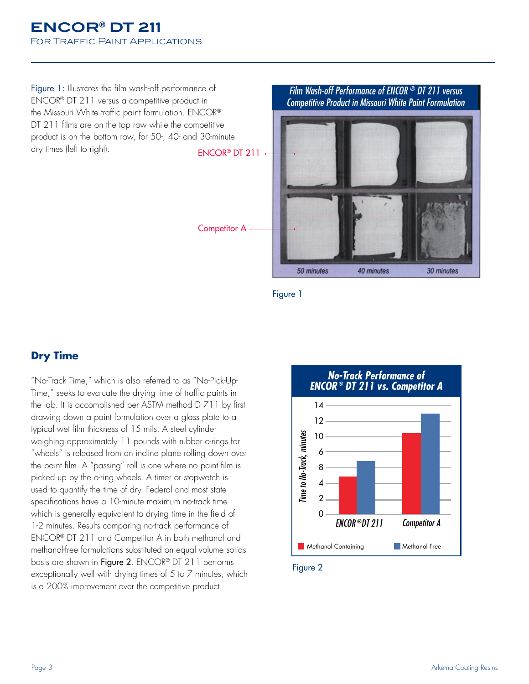## **ENCOR® DT 211**  For Traffic Paint Applications

Figure 1: Illustrates the film wash-off performance of ENCOR® DT 211 versus a competitive product in the Missouri White traffic paint formulation. ENCOR® DT 211 films are on the top row while the competitive product is on the bottom row, for 50-, 40- and 30-minute dry times (left to right).

*Film Wash-off Performance of ENCOR ® DT 211 versus Competitive Product in Missouri White Paint Formulation* ENCOR® DT 211 Competitor A50 minutes 40 minutes 30 minutes

Figure 1

## **Dry Time**

"No-Track Time," which is also referred to as "No-Pick-Up-Time," seeks to evaluate the drying time of traffic paints in the lab. It is accomplished per ASTM method D 711 by first drawing down a paint formulation over a glass plate to a typical wet film thickness of 15 mils. A steel cylinder weighing approximately 11 pounds with rubber o-rings for "wheels" is released from an incline plane rolling down over the paint film. A "passing" roll is one where no paint film is picked up by the o-ring wheels. A timer or stopwatch is used to quantify the time of dry. Federal and most state specifications have a 10-minute maximum no-track time which is generally equivalent to drying time in the field of 1-2 minutes. Results comparing no-track performance of ENCOR® DT 211 and Competitor A in both methanol and methanol-free formulations substituted on equal volume solids basis are shown in Figure 2. ENCOR® DT 211 performs exceptionally well with drying times of 5 to 7 minutes, which is a 200% improvement over the competitive product.



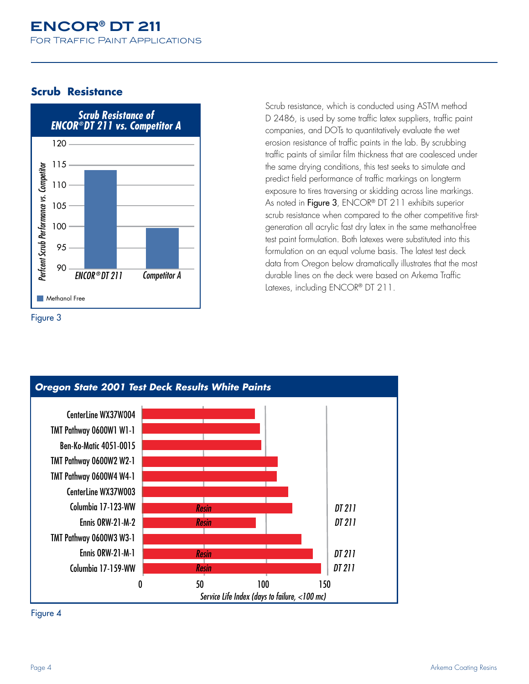## **Scrub Resistance**



Figure 3

Scrub resistance, which is conducted using ASTM method D 2486, is used by some traffic latex suppliers, traffic paint companies, and DOTs to quantitatively evaluate the wet erosion resistance of traffic paints in the lab. By scrubbing traffic paints of similar film thickness that are coalesced under the same drying conditions, this test seeks to simulate and predict field performance of traffic markings on longterm exposure to tires traversing or skidding across line markings. As noted in Figure 3, ENCOR® DT 211 exhibits superior scrub resistance when compared to the other competitive firstgeneration all acrylic fast dry latex in the same methanol-free test paint formulation. Both latexes were substituted into this formulation on an equal volume basis. The latest test deck data from Oregon below dramatically illustrates that the most durable lines on the deck were based on Arkema Traffic Latexes, including ENCOR® DT 211.



Figure 4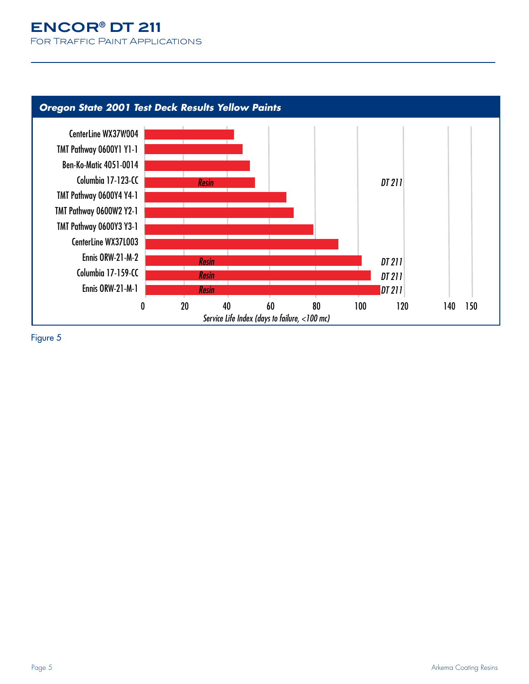# **ENCOR® DT 211**  For Traffic Paint Applications



Figure 5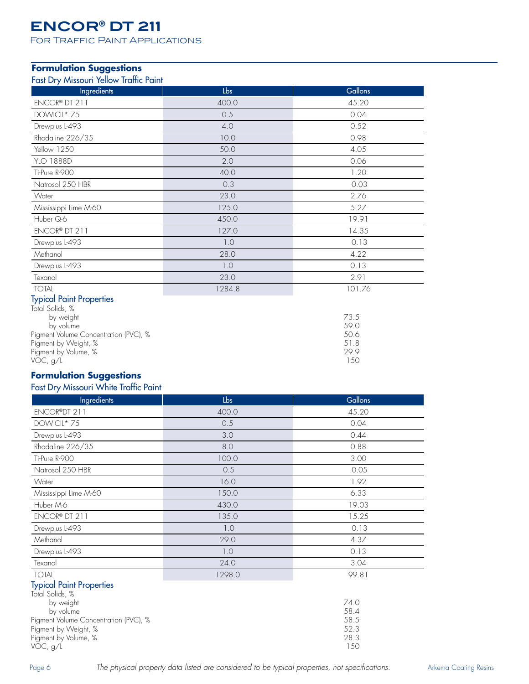FOR TRAFFIC PAINT APPLICATIONS

# **Formulation Suggestions**

### Fast Dry Missouri Yellow Traffic Paint

| Ingredients                                                                                                                                                                       | Lbs    | Gallons                                      |
|-----------------------------------------------------------------------------------------------------------------------------------------------------------------------------------|--------|----------------------------------------------|
| ENCOR® DT 211                                                                                                                                                                     | 400.0  | 45.20                                        |
| DOWICIL* 75                                                                                                                                                                       | 0.5    | 0.04                                         |
| Drewplus L-493                                                                                                                                                                    | 4.0    | 0.52                                         |
| Rhodaline 226/35                                                                                                                                                                  | 10.0   | 0.98                                         |
| Yellow 1250                                                                                                                                                                       | 50.0   | 4.05                                         |
| <b>YLO 1888D</b>                                                                                                                                                                  | 2.0    | 0.06                                         |
| Ti-Pure R-900                                                                                                                                                                     | 40.0   | 1.20                                         |
| Natrosol 250 HBR                                                                                                                                                                  | 0.3    | 0.03                                         |
| Water                                                                                                                                                                             | 23.0   | 2.76                                         |
| Mississippi Lime M-60                                                                                                                                                             | 125.0  | 5.27                                         |
| Huber Q-6                                                                                                                                                                         | 450.0  | 19.91                                        |
| ENCOR® DT 211                                                                                                                                                                     | 127.0  | 14.35                                        |
| Drewplus L-493                                                                                                                                                                    | 1.0    | 0.13                                         |
| Methanol                                                                                                                                                                          | 28.0   | 4.22                                         |
| Drewplus L-493                                                                                                                                                                    | 1.0    | 0.13                                         |
| Texanol                                                                                                                                                                           | 23.0   | 2.91                                         |
| <b>TOTAL</b>                                                                                                                                                                      | 1284.8 | 101.76                                       |
| <b>Typical Paint Properties</b><br>Total Solids, %<br>by weight<br>by volume<br>Pigment Volume Concentration (PVC), %<br>Pigment by Weight, %<br>Pigment by Volume, %<br>VOC, g/l |        | 73.5<br>59.0<br>50.6<br>51.8<br>29.9<br>1.50 |

## **Formulation Suggestions**

### Fast Dry Missouri White Traffic Paint

| Ingredients                     | Lbs    | Gallons |
|---------------------------------|--------|---------|
| ENCOR®DT 211                    | 400.0  | 45.20   |
| DOWICIL* 75                     | 0.5    | 0.04    |
| Drewplus L-493                  | 3.0    | 0.44    |
| Rhodaline 226/35                | 8.0    | 0.88    |
| Ti-Pure R-900                   | 100.0  | 3.00    |
| Natrosol 250 HBR                | 0.5    | 0.05    |
| Water                           | 16.0   | 1.92    |
| Mississippi Lime M-60           | 150.0  | 6.33    |
| Huber M-6                       | 430.0  | 19.03   |
| ENCOR® DT 211                   | 135.0  | 15.25   |
| Drewplus L-493                  | 1.0    | 0.13    |
| Methanol                        | 29.0   | 4.37    |
| Drewplus L-493                  | 1.0    | 0.13    |
| Texanol                         | 24.0   | 3.04    |
| <b>TOTAL</b>                    | 1298.0 | 99.81   |
| <b>Tynical Paint Properties</b> |        |         |

#### Typical Paint Properties

| Total Solids, %                       |      |
|---------------------------------------|------|
| by weight                             | 74.0 |
| by volume                             | 58.4 |
| Pigment Volume Concentration (PVC), % | 58.5 |
| Pigment by Weight, %                  | 52.3 |
| Pigment by Volume, %                  | 28.3 |
| VOC, q/L                              | 1.50 |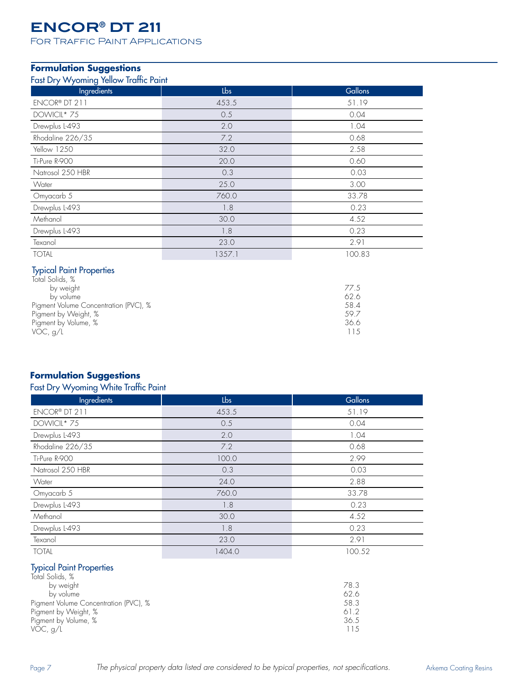FOR TRAFFIC PAINT APPLICATIONS

# **Formulation Suggestions**

## Fast Dry Wyoming Yellow Traffic Paint

| $\mathbf{1}$ $\mathbf{1}$ $\mathbf{1}$<br>ັ<br>Ingredients | Lbs    | Gallons |
|------------------------------------------------------------|--------|---------|
| ENCOR® DT 211                                              | 453.5  | 51.19   |
| DOWICIL* 75                                                | 0.5    | 0.04    |
| Drewplus L-493                                             | 2.0    | 1.04    |
| Rhodaline 226/35                                           | 7.2    | 0.68    |
| Yellow 1250                                                | 32.0   | 2.58    |
| Ti-Pure R-900                                              | 20.0   | 0.60    |
| Natrosol 250 HBR                                           | 0.3    | 0.03    |
| Water                                                      | 25.0   | 3.00    |
| Omyacarb 5                                                 | 760.0  | 33.78   |
| Drewplus L-493                                             | 1.8    | 0.23    |
| Methanol                                                   | 30.0   | 4.52    |
| Drewplus L-493                                             | 1.8    | 0.23    |
| Texanol                                                    | 23.0   | 2.91    |
| <b>TOTAL</b>                                               | 1357.1 | 100.83  |

#### Typical Paint Properties

| Total Solids, %                       |       |
|---------------------------------------|-------|
| by weight                             | 77.5  |
| by volume                             | 62.6  |
| Pigment Volume Concentration (PVC), % | 58.4  |
| Pigment by Weight, %                  | .59.7 |
| Pigment by Volume, %                  | 36.6  |
| VOC, $q/l$                            | 115   |

### **Formulation Suggestions**

### Fast Dry Wyoming White Traffic Paint

| Ingredients      | Lbs    | Gallons |
|------------------|--------|---------|
| ENCOR® DT 211    | 453.5  | 51.19   |
| DOWICIL* 75      | 0.5    | 0.04    |
| Drewplus L-493   | 2.0    | 1.04    |
| Rhodaline 226/35 | 7.2    | 0.68    |
| Ti-Pure R-900    | 100.0  | 2.99    |
| Natrosol 250 HBR | 0.3    | 0.03    |
| Water            | 24.0   | 2.88    |
| Omyacarb 5       | 760.0  | 33.78   |
| Drewplus L-493   | 1.8    | 0.23    |
| Methanol         | 30.0   | 4.52    |
| Drewplus L-493   | 1.8    | 0.23    |
| Texanol          | 23.0   | 2.91    |
| <b>TOTAL</b>     | 1404.0 | 100.52  |

#### Typical Paint Properties

| 78.3 |
|------|
| 62.6 |
| 58.3 |
| 61.2 |
| 36.5 |
| 115  |
|      |